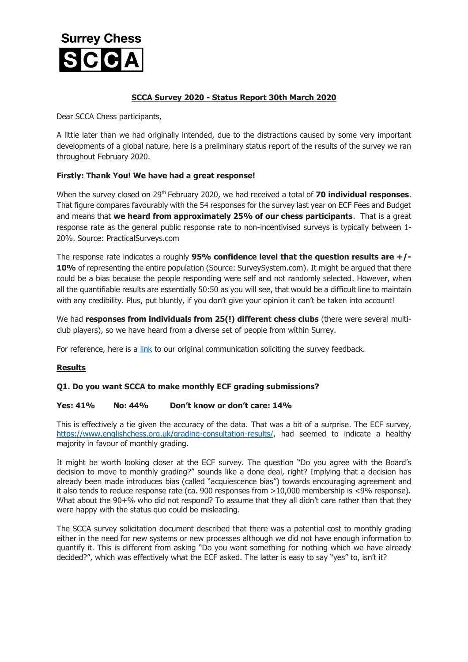

## **SCCA Survey 2020 - Status Report 30th March 2020**

Dear SCCA Chess participants,

A little later than we had originally intended, due to the distractions caused by some very important developments of a global nature, here is a preliminary status report of the results of the survey we ran throughout February 2020.

## **Firstly: Thank You! We have had a great response!**

When the survey closed on 29th February 2020, we had received a total of **70 individual responses**. That figure compares favourably with the 54 responses for the survey last year on ECF Fees and Budget and means that **we heard from approximately 25% of our chess participants**. That is a great response rate as the general public response rate to non-incentivised surveys is typically between 1- 20%. Source: PracticalSurveys.com

The response rate indicates a roughly **95% confidence level that the question results are +/-** 10% of representing the entire population (Source: SurveySystem.com). It might be argued that there could be a bias because the people responding were self and not randomly selected. However, when all the quantifiable results are essentially 50:50 as you will see, that would be a difficult line to maintain with any credibility. Plus, put bluntly, if you don't give your opinion it can't be taken into account!

We had **responses from individuals from 25(!) different chess clubs** (there were several multiclub players), so we have heard from a diverse set of people from within Surrey.

For reference, here is a [link](http://www.scca.co.uk/SCCA/docs/SCCA-Members-Survey-Feb2020-FINAL.pdf) to our original communication soliciting the survey feedback.

## **Results**

## **Q1. Do you want SCCA to make monthly ECF grading submissions?**

## **Yes: 41% No: 44% Don't know or don't care: 14%**

This is effectively a tie given the accuracy of the data. That was a bit of a surprise. The ECF survey, [https://www.englishchess.org.uk/grading-consultation-results/,](https://www.englishchess.org.uk/grading-consultation-results/) had seemed to indicate a healthy majority in favour of monthly grading.

It might be worth looking closer at the ECF survey. The question "Do you agree with the Board's decision to move to monthly grading?" sounds like a done deal, right? Implying that a decision has already been made introduces bias (called "acquiescence bias") towards encouraging agreement and it also tends to reduce response rate (ca. 900 responses from >10,000 membership is <9% response). What about the 90+% who did not respond? To assume that they all didn't care rather than that they were happy with the status quo could be misleading.

The SCCA survey solicitation document described that there was a potential cost to monthly grading either in the need for new systems or new processes although we did not have enough information to quantify it. This is different from asking "Do you want something for nothing which we have already decided?", which was effectively what the ECF asked. The latter is easy to say "yes" to, isn't it?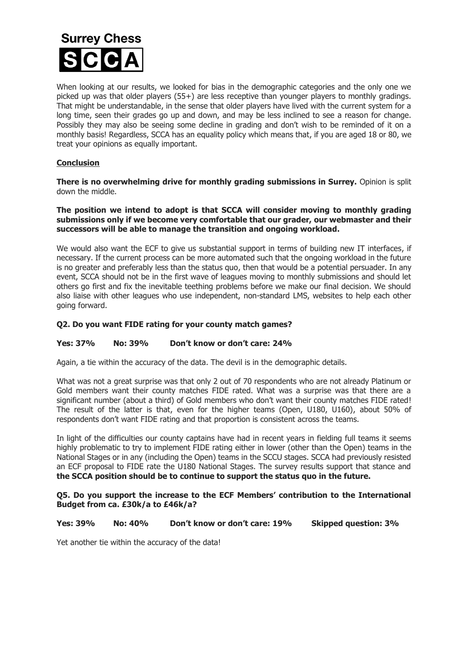## **Surrey Chess**

When looking at our results, we looked for bias in the demographic categories and the only one we picked up was that older players (55+) are less receptive than younger players to monthly gradings. That might be understandable, in the sense that older players have lived with the current system for a long time, seen their grades go up and down, and may be less inclined to see a reason for change. Possibly they may also be seeing some decline in grading and don't wish to be reminded of it on a monthly basis! Regardless, SCCA has an equality policy which means that, if you are aged 18 or 80, we treat your opinions as equally important.

## **Conclusion**

**There is no overwhelming drive for monthly grading submissions in Surrey.** Opinion is split down the middle.

#### **The position we intend to adopt is that SCCA will consider moving to monthly grading submissions only if we become very comfortable that our grader, our webmaster and their successors will be able to manage the transition and ongoing workload.**

We would also want the ECF to give us substantial support in terms of building new IT interfaces, if necessary. If the current process can be more automated such that the ongoing workload in the future is no greater and preferably less than the status quo, then that would be a potential persuader. In any event, SCCA should not be in the first wave of leagues moving to monthly submissions and should let others go first and fix the inevitable teething problems before we make our final decision. We should also liaise with other leagues who use independent, non-standard LMS, websites to help each other going forward.

## **Q2. Do you want FIDE rating for your county match games?**

#### **Yes: 37% No: 39% Don't know or don't care: 24%**

Again, a tie within the accuracy of the data. The devil is in the demographic details.

What was not a great surprise was that only 2 out of 70 respondents who are not already Platinum or Gold members want their county matches FIDE rated. What was a surprise was that there are a significant number (about a third) of Gold members who don't want their county matches FIDE rated! The result of the latter is that, even for the higher teams (Open, U180, U160), about 50% of respondents don't want FIDE rating and that proportion is consistent across the teams.

In light of the difficulties our county captains have had in recent years in fielding full teams it seems highly problematic to try to implement FIDE rating either in lower (other than the Open) teams in the National Stages or in any (including the Open) teams in the SCCU stages. SCCA had previously resisted an ECF proposal to FIDE rate the U180 National Stages. The survey results support that stance and **the SCCA position should be to continue to support the status quo in the future.**

#### **Q5. Do you support the increase to the ECF Members' contribution to the International Budget from ca. £30k/a to £46k/a?**

**Yes: 39% No: 40% Don't know or don't care: 19% Skipped question: 3%**

Yet another tie within the accuracy of the data!